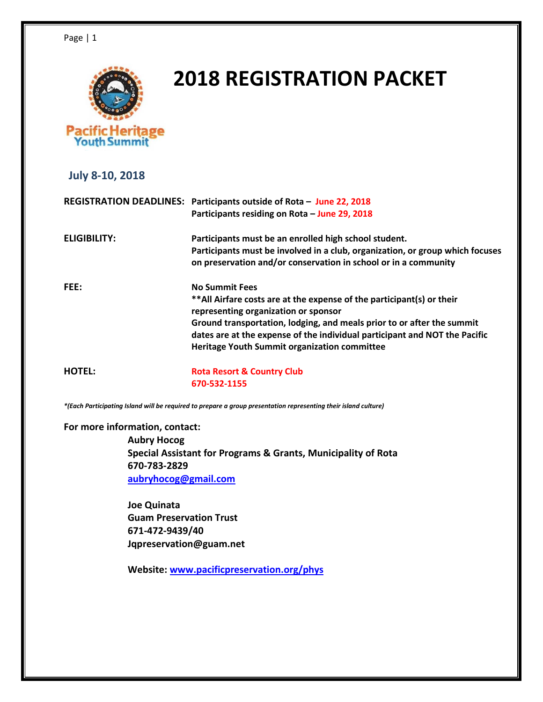

# **2018 REGISTRATION PACKET**

 **July 8-10, 2018**

|              | REGISTRATION DEADLINES: Participants outside of Rota - June 22, 2018                                                                   |  |
|--------------|----------------------------------------------------------------------------------------------------------------------------------------|--|
|              | Participants residing on Rota - June 29, 2018                                                                                          |  |
| ELIGIBILITY: | Participants must be an enrolled high school student.<br>Participants must be involved in a club, organization, or group which focuses |  |
|              | on preservation and/or conservation in school or in a community                                                                        |  |
| FEE:         | <b>No Summit Fees</b>                                                                                                                  |  |
|              | ** All Airfare costs are at the expense of the participant(s) or their<br>representing organization or sponsor                         |  |
|              | Ground transportation, lodging, and meals prior to or after the summit                                                                 |  |
|              | dates are at the expense of the individual participant and NOT the Pacific<br>Heritage Youth Summit organization committee             |  |
|              |                                                                                                                                        |  |

**HOTEL: Rota Resort & Country Club 670-532-1155**

*\*(Each Participating Island will be required to prepare a group presentation representing their island culture)*

**For more information, contact:**

**Aubry Hocog Special Assistant for Programs & Grants, Municipality of Rota 670-783-2829 [aubryhocog@gmail.com](mailto:aubryhocog@gmail.com)**

**Joe Quinata Guam Preservation Trust 671-472-9439/40 Jqpreservation@guam.net**

**Website: [www.pacificpreservation.org/phys](http://www.pacificpreservation.org/phys)**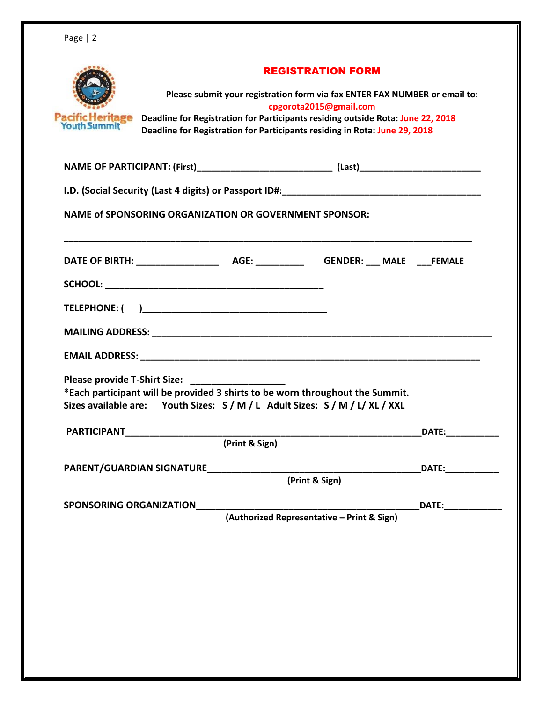| <b>Pacific Heritage</b><br>Youth Summit                                                                                                                                                                | <b>REGISTRATION FORM</b><br>Please submit your registration form via fax ENTER FAX NUMBER or email to:<br>cpgorota2015@gmail.com<br>Deadline for Registration for Participants residing outside Rota: June 22, 2018<br>Deadline for Registration for Participants residing in Rota: June 29, 2018 |                    |
|--------------------------------------------------------------------------------------------------------------------------------------------------------------------------------------------------------|---------------------------------------------------------------------------------------------------------------------------------------------------------------------------------------------------------------------------------------------------------------------------------------------------|--------------------|
|                                                                                                                                                                                                        |                                                                                                                                                                                                                                                                                                   |                    |
|                                                                                                                                                                                                        |                                                                                                                                                                                                                                                                                                   |                    |
| <b>NAME of SPONSORING ORGANIZATION OR GOVERNMENT SPONSOR:</b>                                                                                                                                          |                                                                                                                                                                                                                                                                                                   |                    |
|                                                                                                                                                                                                        |                                                                                                                                                                                                                                                                                                   |                    |
|                                                                                                                                                                                                        |                                                                                                                                                                                                                                                                                                   |                    |
|                                                                                                                                                                                                        |                                                                                                                                                                                                                                                                                                   |                    |
|                                                                                                                                                                                                        |                                                                                                                                                                                                                                                                                                   |                    |
|                                                                                                                                                                                                        |                                                                                                                                                                                                                                                                                                   |                    |
| Please provide T-Shirt Size: _______<br>*Each participant will be provided 3 shirts to be worn throughout the Summit.<br>Sizes available are: Youth Sizes: S / M / L Adult Sizes: S / M / L / XL / XXL |                                                                                                                                                                                                                                                                                                   |                    |
| PARTICIPANT PARTICIPANT                                                                                                                                                                                |                                                                                                                                                                                                                                                                                                   | DATE: <b>DATE:</b> |
|                                                                                                                                                                                                        | (Print & Sign)                                                                                                                                                                                                                                                                                    |                    |
| PARENT/GUARDIAN SIGNATURE                                                                                                                                                                              |                                                                                                                                                                                                                                                                                                   | DATE:___________   |
|                                                                                                                                                                                                        | (Print & Sign)                                                                                                                                                                                                                                                                                    |                    |
| SPONSORING ORGANIZATION                                                                                                                                                                                |                                                                                                                                                                                                                                                                                                   | DATE: <b>DATE:</b> |
|                                                                                                                                                                                                        | (Authorized Representative - Print & Sign)                                                                                                                                                                                                                                                        |                    |
|                                                                                                                                                                                                        |                                                                                                                                                                                                                                                                                                   |                    |
|                                                                                                                                                                                                        |                                                                                                                                                                                                                                                                                                   |                    |
|                                                                                                                                                                                                        |                                                                                                                                                                                                                                                                                                   |                    |
|                                                                                                                                                                                                        |                                                                                                                                                                                                                                                                                                   |                    |
|                                                                                                                                                                                                        |                                                                                                                                                                                                                                                                                                   |                    |
|                                                                                                                                                                                                        |                                                                                                                                                                                                                                                                                                   |                    |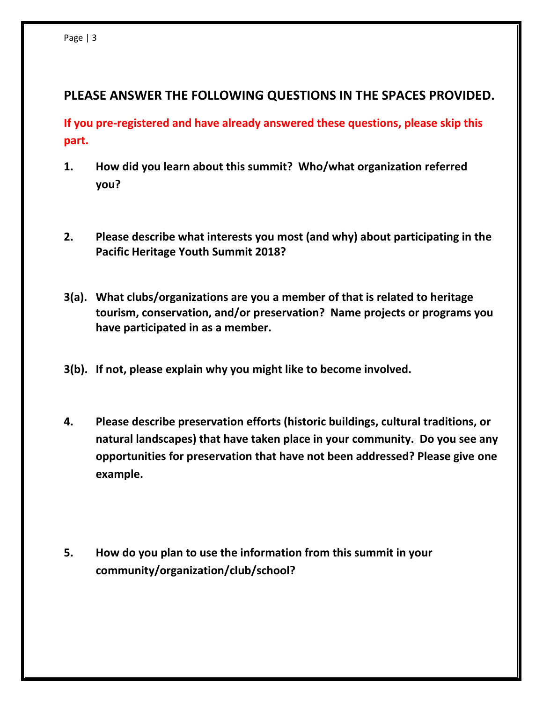## **PLEASE ANSWER THE FOLLOWING QUESTIONS IN THE SPACES PROVIDED.**

**If you pre-registered and have already answered these questions, please skip this part.**

- **1. How did you learn about this summit? Who/what organization referred you?**
- **2. Please describe what interests you most (and why) about participating in the Pacific Heritage Youth Summit 2018?**
- **3(a). What clubs/organizations are you a member of that is related to heritage tourism, conservation, and/or preservation? Name projects or programs you have participated in as a member.**
- **3(b). If not, please explain why you might like to become involved.**
- **4. Please describe preservation efforts (historic buildings, cultural traditions, or natural landscapes) that have taken place in your community. Do you see any opportunities for preservation that have not been addressed? Please give one example.**
- **5. How do you plan to use the information from this summit in your community/organization/club/school?**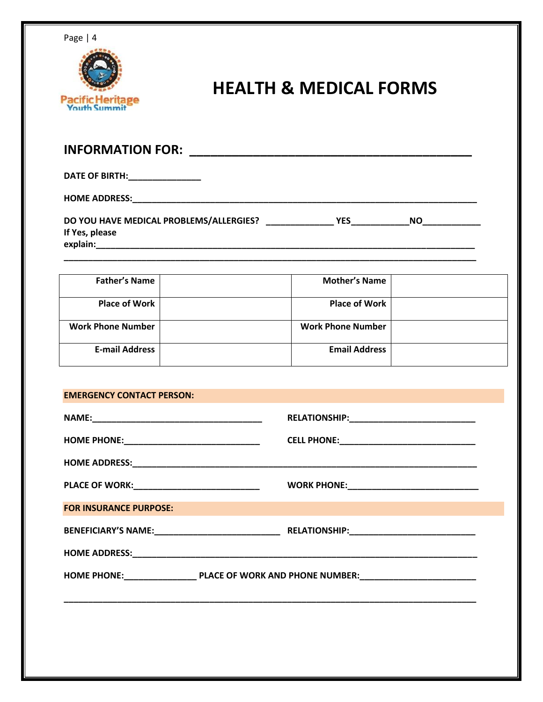



# **HEALTH & MEDICAL FORMS**

| <b>INFORMATION FOR:</b>                                               |     |           |  |
|-----------------------------------------------------------------------|-----|-----------|--|
| DATE OF BIRTH: New York DATE OF BIRTH:                                |     |           |  |
| <b>HOME ADDRESS:</b>                                                  |     |           |  |
| DO YOU HAVE MEDICAL PROBLEMS/ALLERGIES?<br>If Yes, please<br>explain: | YES | <b>NO</b> |  |

**\_\_\_\_\_\_\_\_\_\_\_\_\_\_\_\_\_\_\_\_\_\_\_\_\_\_\_\_\_\_\_\_\_\_\_\_\_\_\_\_\_\_\_\_\_\_\_\_\_\_\_\_\_\_\_\_\_\_\_\_\_\_\_\_\_\_\_\_\_\_\_\_\_\_\_\_\_\_\_\_\_\_\_\_\_**

| <b>Father's Name</b>     | <b>Mother's Name</b>     |  |
|--------------------------|--------------------------|--|
| <b>Place of Work</b>     | <b>Place of Work</b>     |  |
| <b>Work Phone Number</b> | <b>Work Phone Number</b> |  |
| <b>E-mail Address</b>    | <b>Email Address</b>     |  |

#### **EMERGENCY CONTACT PERSON:**

| <b>PLACE OF WORK:_____________________________</b> | WORK PHONE: _________________________________ |  |  |
|----------------------------------------------------|-----------------------------------------------|--|--|
| <b>FOR INSURANCE PURPOSE:</b>                      |                                               |  |  |
|                                                    |                                               |  |  |
|                                                    |                                               |  |  |
|                                                    |                                               |  |  |
|                                                    |                                               |  |  |
|                                                    |                                               |  |  |
|                                                    |                                               |  |  |
|                                                    |                                               |  |  |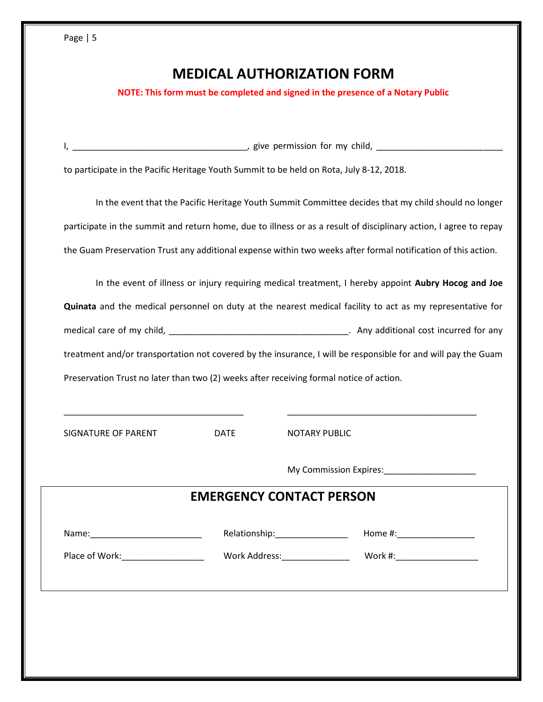| o<br>r.<br>v |  |
|--------------|--|
|--------------|--|

# **MEDICAL AUTHORIZATION FORM**

**NOTE: This form must be completed and signed in the presence of a Notary Public**

| to participate in the Pacific Heritage Youth Summit to be held on Rota, July 8-12, 2018.                          |  |  |  |
|-------------------------------------------------------------------------------------------------------------------|--|--|--|
| In the event that the Pacific Heritage Youth Summit Committee decides that my child should no longer              |  |  |  |
| participate in the summit and return home, due to illness or as a result of disciplinary action, I agree to repay |  |  |  |
| the Guam Preservation Trust any additional expense within two weeks after formal notification of this action.     |  |  |  |
| In the event of illness or injury requiring medical treatment, I hereby appoint Aubry Hocog and Joe               |  |  |  |
| Quinata and the medical personnel on duty at the nearest medical facility to act as my representative for         |  |  |  |
|                                                                                                                   |  |  |  |
| treatment and/or transportation not covered by the insurance, I will be responsible for and will pay the Guam     |  |  |  |
| Preservation Trust no later than two (2) weeks after receiving formal notice of action.                           |  |  |  |
|                                                                                                                   |  |  |  |
| <b>SIGNATURE OF PARENT</b><br><b>DATE</b><br><b>NOTARY PUBLIC</b>                                                 |  |  |  |

My Commission Expires:\_\_\_\_\_\_\_\_\_\_\_\_\_\_\_\_\_\_\_

### **EMERGENCY CONTACT PERSON**

|     | .       |         |
|-----|---------|---------|
| w   | n.      | ոււթ    |
| ıme | .       |         |
|     | _______ | _______ |

Place of Work:\_\_\_\_\_\_\_\_\_\_\_\_\_\_\_\_\_ Work Address:\_\_\_\_\_\_\_\_\_\_\_\_\_\_ Work #:\_\_\_\_\_\_\_\_\_\_\_\_\_\_\_\_\_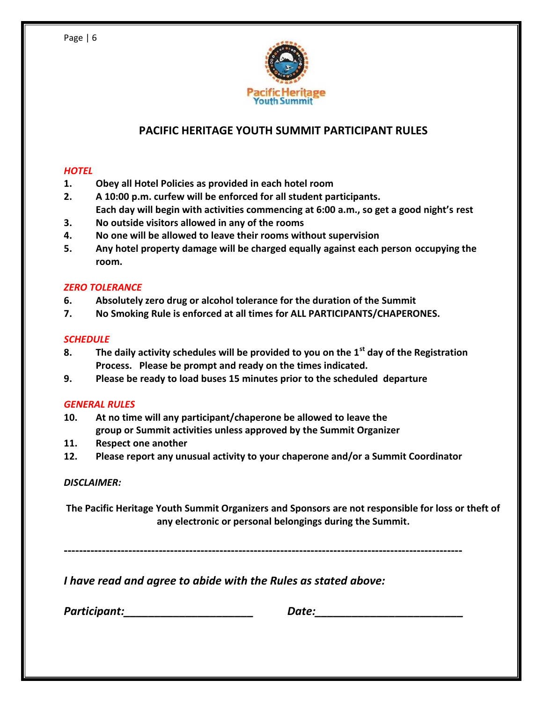

## **PACIFIC HERITAGE YOUTH SUMMIT PARTICIPANT RULES**

#### *HOTEL*

- **1. Obey all Hotel Policies as provided in each hotel room**
- **2. A 10:00 p.m. curfew will be enforced for all student participants. Each day will begin with activities commencing at 6:00 a.m., so get a good night's rest**
- **3. No outside visitors allowed in any of the rooms**
- **4. No one will be allowed to leave their rooms without supervision**
- **5. Any hotel property damage will be charged equally against each person occupying the room.**

#### *ZERO TOLERANCE*

- **6. Absolutely zero drug or alcohol tolerance for the duration of the Summit**
- **7. No Smoking Rule is enforced at all times for ALL PARTICIPANTS/CHAPERONES.**

#### *SCHEDULE*

- **8. The daily activity schedules will be provided to you on the 1st day of the Registration Process. Please be prompt and ready on the times indicated.**
- **9. Please be ready to load buses 15 minutes prior to the scheduled departure**

#### *GENERAL RULES*

- **10. At no time will any participant/chaperone be allowed to leave the group or Summit activities unless approved by the Summit Organizer**
- **11. Respect one another**
- **12. Please report any unusual activity to your chaperone and/or a Summit Coordinator**

#### *DISCLAIMER:*

**The Pacific Heritage Youth Summit Organizers and Sponsors are not responsible for loss or theft of any electronic or personal belongings during the Summit.**

**---------------------------------------------------------------------------------------------------------**

*I have read and agree to abide with the Rules as stated above:*

*Participant:\_\_\_\_\_\_\_\_\_\_\_\_\_\_\_\_\_\_\_\_\_ Date:\_\_\_\_\_\_\_\_\_\_\_\_\_\_\_\_\_\_\_\_\_\_\_\_*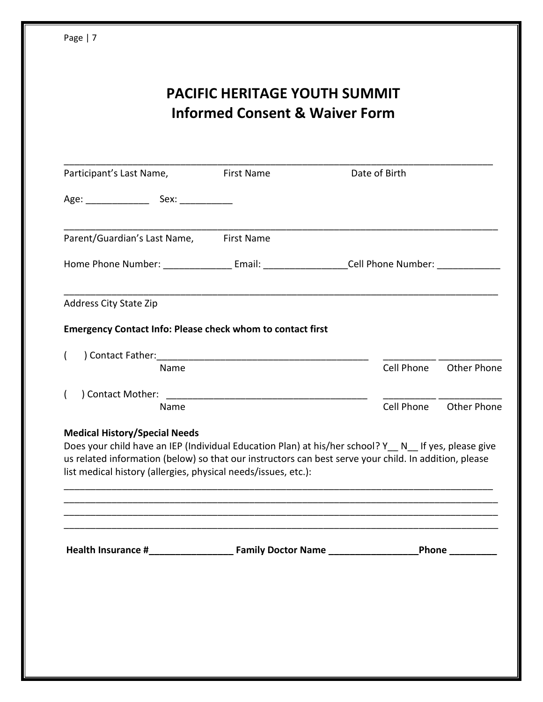# **PACIFIC HERITAGE YOUTH SUMMIT Informed Consent & Waiver Form**

| Parent/Guardian's Last Name,<br><b>First Name</b><br>Home Phone Number: ____________________Email: _____________________Cell Phone Number: ______________<br>Cell Phone<br><b>Other Phone</b><br>Name<br>Cell Phone<br><b>Other Phone</b><br>Name                                                                                                                                                                        | Participant's Last Name, | <b>First Name</b> | Date of Birth |  |
|--------------------------------------------------------------------------------------------------------------------------------------------------------------------------------------------------------------------------------------------------------------------------------------------------------------------------------------------------------------------------------------------------------------------------|--------------------------|-------------------|---------------|--|
|                                                                                                                                                                                                                                                                                                                                                                                                                          |                          |                   |               |  |
|                                                                                                                                                                                                                                                                                                                                                                                                                          |                          |                   |               |  |
|                                                                                                                                                                                                                                                                                                                                                                                                                          |                          |                   |               |  |
| <b>Emergency Contact Info: Please check whom to contact first</b><br>$\overline{ }$<br>$\left($<br><b>Medical History/Special Needs</b><br>Does your child have an IEP (Individual Education Plan) at his/her school? Y_N_If yes, please give<br>us related information (below) so that our instructors can best serve your child. In addition, please<br>list medical history (allergies, physical needs/issues, etc.): | Address City State Zip   |                   |               |  |
|                                                                                                                                                                                                                                                                                                                                                                                                                          |                          |                   |               |  |
|                                                                                                                                                                                                                                                                                                                                                                                                                          |                          |                   |               |  |
|                                                                                                                                                                                                                                                                                                                                                                                                                          |                          |                   |               |  |
|                                                                                                                                                                                                                                                                                                                                                                                                                          |                          |                   |               |  |
|                                                                                                                                                                                                                                                                                                                                                                                                                          |                          |                   |               |  |
|                                                                                                                                                                                                                                                                                                                                                                                                                          |                          |                   |               |  |
|                                                                                                                                                                                                                                                                                                                                                                                                                          |                          |                   |               |  |
|                                                                                                                                                                                                                                                                                                                                                                                                                          |                          |                   |               |  |
|                                                                                                                                                                                                                                                                                                                                                                                                                          |                          |                   |               |  |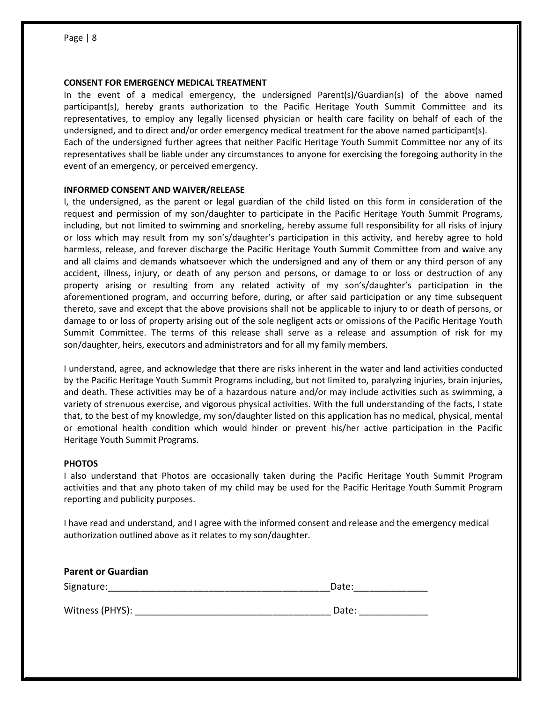#### **CONSENT FOR EMERGENCY MEDICAL TREATMENT**

In the event of a medical emergency, the undersigned Parent(s)/Guardian(s) of the above named participant(s), hereby grants authorization to the Pacific Heritage Youth Summit Committee and its representatives, to employ any legally licensed physician or health care facility on behalf of each of the undersigned, and to direct and/or order emergency medical treatment for the above named participant(s). Each of the undersigned further agrees that neither Pacific Heritage Youth Summit Committee nor any of its representatives shall be liable under any circumstances to anyone for exercising the foregoing authority in the event of an emergency, or perceived emergency.

#### **INFORMED CONSENT AND WAIVER/RELEASE**

I, the undersigned, as the parent or legal guardian of the child listed on this form in consideration of the request and permission of my son/daughter to participate in the Pacific Heritage Youth Summit Programs, including, but not limited to swimming and snorkeling, hereby assume full responsibility for all risks of injury or loss which may result from my son's/daughter's participation in this activity, and hereby agree to hold harmless, release, and forever discharge the Pacific Heritage Youth Summit Committee from and waive any and all claims and demands whatsoever which the undersigned and any of them or any third person of any accident, illness, injury, or death of any person and persons, or damage to or loss or destruction of any property arising or resulting from any related activity of my son's/daughter's participation in the aforementioned program, and occurring before, during, or after said participation or any time subsequent thereto, save and except that the above provisions shall not be applicable to injury to or death of persons, or damage to or loss of property arising out of the sole negligent acts or omissions of the Pacific Heritage Youth Summit Committee. The terms of this release shall serve as a release and assumption of risk for my son/daughter, heirs, executors and administrators and for all my family members.

I understand, agree, and acknowledge that there are risks inherent in the water and land activities conducted by the Pacific Heritage Youth Summit Programs including, but not limited to, paralyzing injuries, brain injuries, and death. These activities may be of a hazardous nature and/or may include activities such as swimming, a variety of strenuous exercise, and vigorous physical activities. With the full understanding of the facts, I state that, to the best of my knowledge, my son/daughter listed on this application has no medical, physical, mental or emotional health condition which would hinder or prevent his/her active participation in the Pacific Heritage Youth Summit Programs.

#### **PHOTOS**

I also understand that Photos are occasionally taken during the Pacific Heritage Youth Summit Program activities and that any photo taken of my child may be used for the Pacific Heritage Youth Summit Program reporting and publicity purposes.

I have read and understand, and I agree with the informed consent and release and the emergency medical authorization outlined above as it relates to my son/daughter.

| <b>Parent or Guardian</b> |       |
|---------------------------|-------|
| Signature:                | Date: |
| Witness (PHYS):           | Date: |